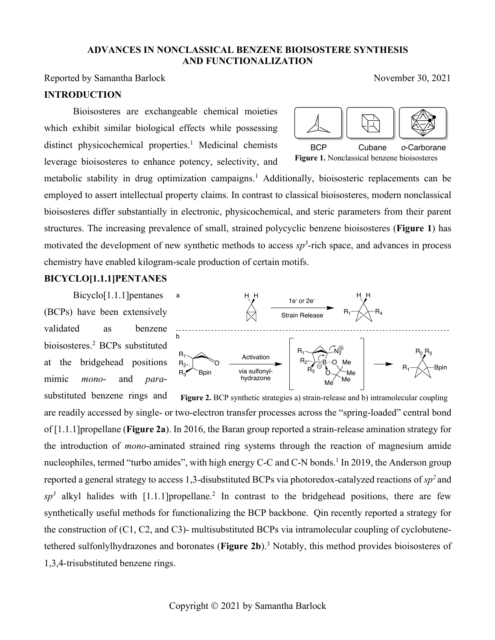#### **ADVANCES IN NONCLASSICAL BENZENE BIOISOSTERE SYNTHESIS AND FUNCTIONALIZATION**

Reported by Samantha Barlock  $\sim$  November 30, 2021

**INTRODUCTION**

Bioisosteres are exchangeable chemical moieties which exhibit similar biological effects while possessing distinct physicochemical properties.<sup>1</sup> Medicinal chemists leverage bioisosteres to enhance potency, selectivity, and

**Figure 1.** Nonclassical benzene bioisosteres BCP Cubane *o*-Carborane

metabolic stability in drug optimization campaigns.<sup>1</sup> Additionally, bioisosteric replacements can be employed to assert intellectual property claims. In contrast to classical bioisosteres, modern nonclassical bioisosteres differ substantially in electronic, physicochemical, and steric parameters from their parent structures. The increasing prevalence of small, strained polycyclic benzene bioisosteres (**Figure 1**) has motivated the development of new synthetic methods to access  $sp<sup>3</sup>$ -rich space, and advances in process chemistry have enabled kilogram-scale production of certain motifs.

## **BICYCLO[1.1.1]PENTANES**

Bicyclo[1.1.1]pentanes (BCPs) have been extensively validated as benzene bioisosteres. <sup>2</sup> BCPs substituted at the bridgehead positions mimic *mono*- and *para*-



substituted benzene rings and are readily accessed by single- or two-electron transfer processes across the "spring-loaded" central bond of [1.1.1]propellane (**Figure 2a**). In 2016, the Baran group reported a strain-release amination strategy for the introduction of *mono*-aminated strained ring systems through the reaction of magnesium amide nucleophiles, termed "turbo amides", with high energy C-C and C-N bonds.<sup>1</sup> In 2019, the Anderson group reported a general strategy to access 1,3-disubstituted BCPs via photoredox-catalyzed reactions of *sp2* and  $sp<sup>3</sup>$  alkyl halides with [1.1.1] propellane.<sup>2</sup> In contrast to the bridgehead positions, there are few synthetically useful methods for functionalizing the BCP backbone. Qin recently reported a strategy for the construction of (C1, C2, and C3)- multisubstituted BCPs via intramolecular coupling of cyclobutenetethered sulfonlylhydrazones and boronates (**Figure 2b**). <sup>3</sup> Notably, this method provides bioisosteres of 1,3,4-trisubstituted benzene rings. **Figure 2.** BCP synthetic strategies a) strain-release and b) intramolecular coupling